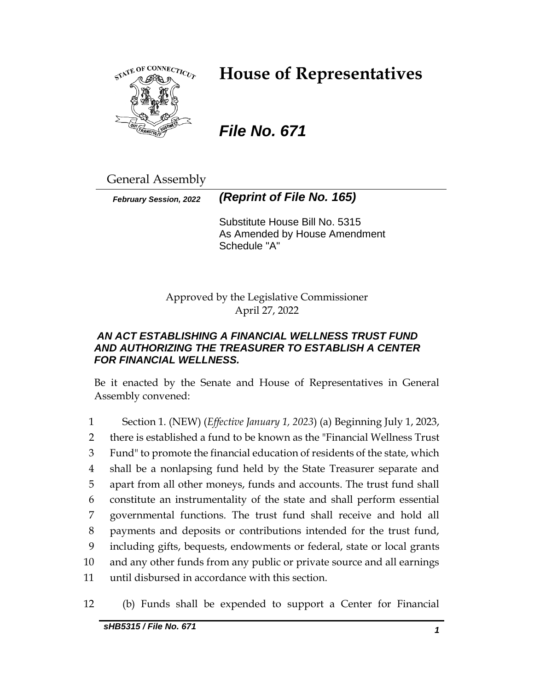

# **House of Representatives**

# *File No. 671*

General Assembly

*February Session, 2022 (Reprint of File No. 165)*

Substitute House Bill No. 5315 As Amended by House Amendment Schedule "A"

Approved by the Legislative Commissioner April 27, 2022

## *AN ACT ESTABLISHING A FINANCIAL WELLNESS TRUST FUND AND AUTHORIZING THE TREASURER TO ESTABLISH A CENTER FOR FINANCIAL WELLNESS.*

Be it enacted by the Senate and House of Representatives in General Assembly convened:

 Section 1. (NEW) (*Effective January 1, 2023*) (a) Beginning July 1, 2023, there is established a fund to be known as the "Financial Wellness Trust Fund" to promote the financial education of residents of the state, which shall be a nonlapsing fund held by the State Treasurer separate and apart from all other moneys, funds and accounts. The trust fund shall constitute an instrumentality of the state and shall perform essential governmental functions. The trust fund shall receive and hold all payments and deposits or contributions intended for the trust fund, including gifts, bequests, endowments or federal, state or local grants and any other funds from any public or private source and all earnings until disbursed in accordance with this section.

12 (b) Funds shall be expended to support a Center for Financial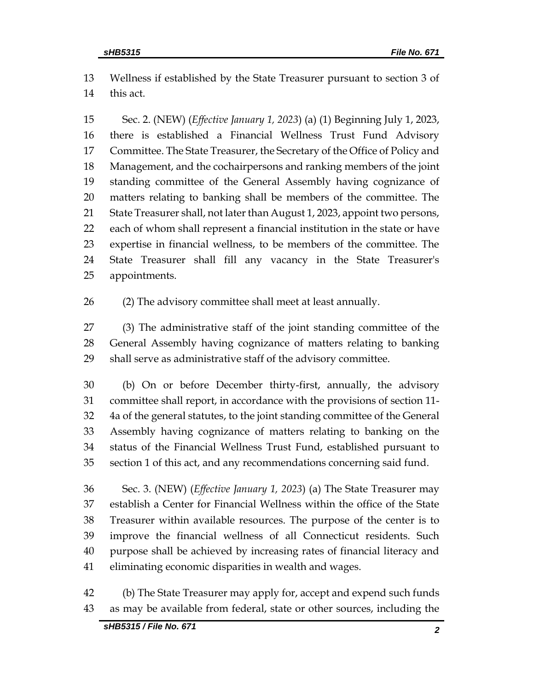Wellness if established by the State Treasurer pursuant to section 3 of this act.

 Sec. 2. (NEW) (*Effective January 1, 2023*) (a) (1) Beginning July 1, 2023, there is established a Financial Wellness Trust Fund Advisory Committee. The State Treasurer, the Secretary of the Office of Policy and Management, and the cochairpersons and ranking members of the joint standing committee of the General Assembly having cognizance of matters relating to banking shall be members of the committee. The State Treasurer shall, not later than August 1, 2023, appoint two persons, each of whom shall represent a financial institution in the state or have expertise in financial wellness, to be members of the committee. The State Treasurer shall fill any vacancy in the State Treasurer's appointments.

(2) The advisory committee shall meet at least annually.

 (3) The administrative staff of the joint standing committee of the General Assembly having cognizance of matters relating to banking shall serve as administrative staff of the advisory committee.

 (b) On or before December thirty-first, annually, the advisory committee shall report, in accordance with the provisions of section 11- 4a of the general statutes, to the joint standing committee of the General Assembly having cognizance of matters relating to banking on the status of the Financial Wellness Trust Fund, established pursuant to section 1 of this act, and any recommendations concerning said fund.

 Sec. 3. (NEW) (*Effective January 1, 2023*) (a) The State Treasurer may establish a Center for Financial Wellness within the office of the State Treasurer within available resources. The purpose of the center is to improve the financial wellness of all Connecticut residents. Such purpose shall be achieved by increasing rates of financial literacy and eliminating economic disparities in wealth and wages.

 (b) The State Treasurer may apply for, accept and expend such funds as may be available from federal, state or other sources, including the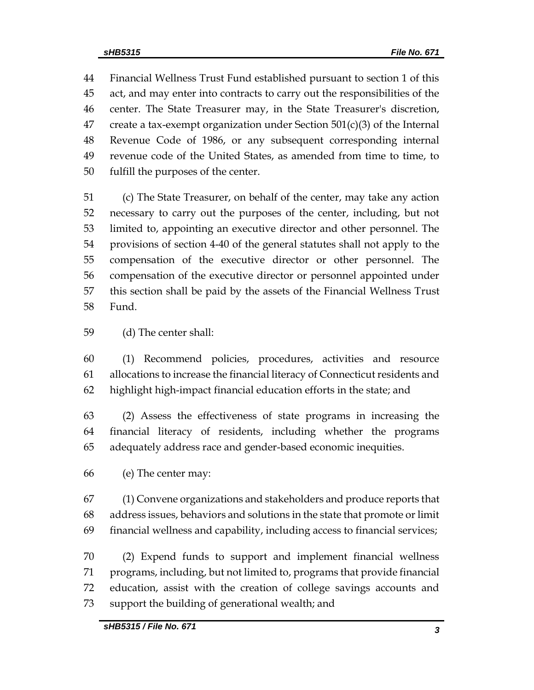Financial Wellness Trust Fund established pursuant to section 1 of this act, and may enter into contracts to carry out the responsibilities of the center. The State Treasurer may, in the State Treasurer's discretion, 47 create a tax-exempt organization under Section  $501(c)(3)$  of the Internal Revenue Code of 1986, or any subsequent corresponding internal revenue code of the United States, as amended from time to time, to fulfill the purposes of the center.

 (c) The State Treasurer, on behalf of the center, may take any action necessary to carry out the purposes of the center, including, but not limited to, appointing an executive director and other personnel. The provisions of section 4-40 of the general statutes shall not apply to the compensation of the executive director or other personnel. The compensation of the executive director or personnel appointed under this section shall be paid by the assets of the Financial Wellness Trust Fund.

(d) The center shall:

 (1) Recommend policies, procedures, activities and resource allocations to increase the financial literacy of Connecticut residents and highlight high-impact financial education efforts in the state; and

 (2) Assess the effectiveness of state programs in increasing the financial literacy of residents, including whether the programs adequately address race and gender-based economic inequities.

(e) The center may:

 (1) Convene organizations and stakeholders and produce reports that address issues, behaviors and solutions in the state that promote or limit financial wellness and capability, including access to financial services;

 (2) Expend funds to support and implement financial wellness programs, including, but not limited to, programs that provide financial education, assist with the creation of college savings accounts and support the building of generational wealth; and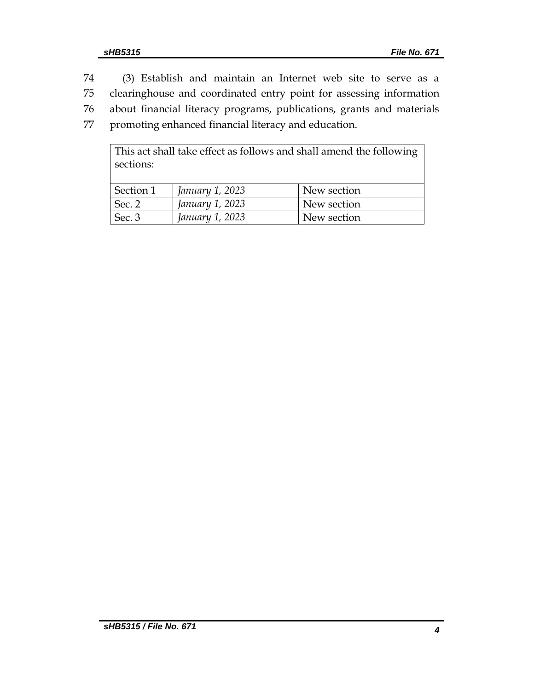(3) Establish and maintain an Internet web site to serve as a clearinghouse and coordinated entry point for assessing information about financial literacy programs, publications, grants and materials promoting enhanced financial literacy and education. This act shall take effect as follows and shall amend the following

| sections: |                 | This wet should take effect to follow show should think the following |
|-----------|-----------------|-----------------------------------------------------------------------|
| Section 1 | January 1, 2023 | New section                                                           |
| Sec. 2    | January 1, 2023 | New section                                                           |
| Sec. 3    | January 1, 2023 | New section                                                           |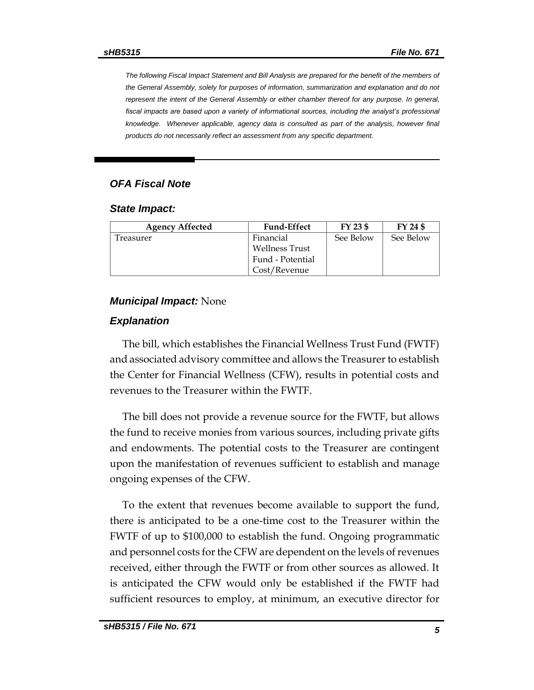*The following Fiscal Impact Statement and Bill Analysis are prepared for the benefit of the members of the General Assembly, solely for purposes of information, summarization and explanation and do not represent the intent of the General Assembly or either chamber thereof for any purpose. In general,*  fiscal impacts are based upon a variety of informational sources, including the analyst's professional *knowledge. Whenever applicable, agency data is consulted as part of the analysis, however final products do not necessarily reflect an assessment from any specific department.*

## *OFA Fiscal Note*

#### *State Impact:*

| <b>Agency Affected</b> | <b>Fund-Effect</b>    | $FY$ 23 \$ | FY 24 \$  |
|------------------------|-----------------------|------------|-----------|
| l reasurer             | Financial             | See Below  | See Below |
|                        | <b>Wellness Trust</b> |            |           |
|                        | Fund - Potential      |            |           |
|                        | Cost/Revenue          |            |           |

#### *Municipal Impact:* None

#### *Explanation*

The bill, which establishes the Financial Wellness Trust Fund (FWTF) and associated advisory committee and allows the Treasurer to establish the Center for Financial Wellness (CFW), results in potential costs and revenues to the Treasurer within the FWTF.

The bill does not provide a revenue source for the FWTF, but allows the fund to receive monies from various sources, including private gifts and endowments. The potential costs to the Treasurer are contingent upon the manifestation of revenues sufficient to establish and manage ongoing expenses of the CFW.

To the extent that revenues become available to support the fund, there is anticipated to be a one-time cost to the Treasurer within the FWTF of up to \$100,000 to establish the fund. Ongoing programmatic and personnel costs for the CFW are dependent on the levels of revenues received, either through the FWTF or from other sources as allowed. It is anticipated the CFW would only be established if the FWTF had sufficient resources to employ, at minimum, an executive director for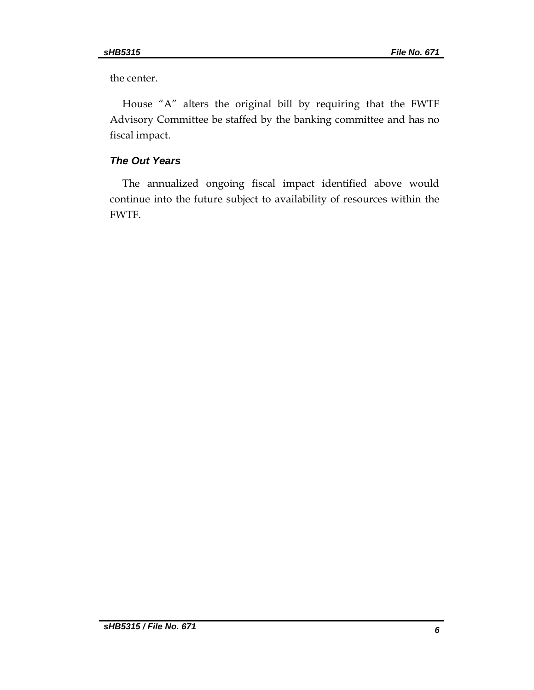the center.

House "A" alters the original bill by requiring that the FWTF Advisory Committee be staffed by the banking committee and has no fiscal impact.

## *The Out Years*

The annualized ongoing fiscal impact identified above would continue into the future subject to availability of resources within the FWTF.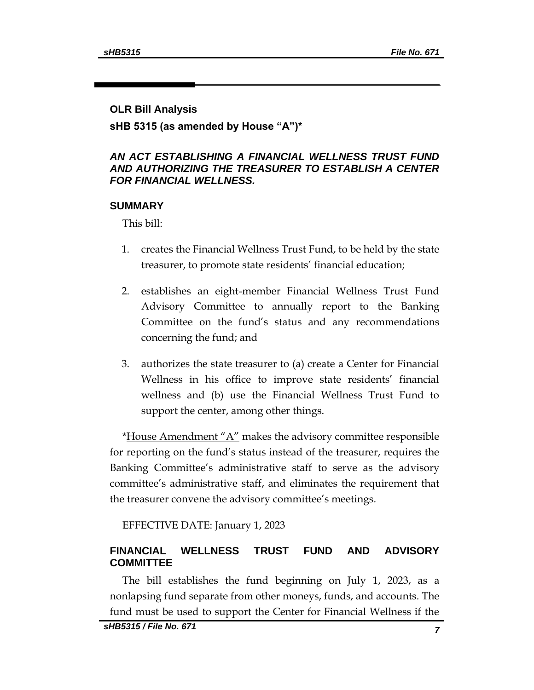#### **OLR Bill Analysis**

## **sHB 5315 (as amended by House "A")\***

## *AN ACT ESTABLISHING A FINANCIAL WELLNESS TRUST FUND AND AUTHORIZING THE TREASURER TO ESTABLISH A CENTER FOR FINANCIAL WELLNESS.*

#### **SUMMARY**

This bill:

- 1. creates the Financial Wellness Trust Fund, to be held by the state treasurer, to promote state residents' financial education;
- 2. establishes an eight-member Financial Wellness Trust Fund Advisory Committee to annually report to the Banking Committee on the fund's status and any recommendations concerning the fund; and
- 3. authorizes the state treasurer to (a) create a Center for Financial Wellness in his office to improve state residents' financial wellness and (b) use the Financial Wellness Trust Fund to support the center, among other things.

\*House Amendment " $A$ " makes the advisory committee responsible for reporting on the fund's status instead of the treasurer, requires the Banking Committee's administrative staff to serve as the advisory committee's administrative staff, and eliminates the requirement that the treasurer convene the advisory committee's meetings.

EFFECTIVE DATE: January 1, 2023

## **FINANCIAL WELLNESS TRUST FUND AND ADVISORY COMMITTEE**

The bill establishes the fund beginning on July 1, 2023, as a nonlapsing fund separate from other moneys, funds, and accounts. The fund must be used to support the Center for Financial Wellness if the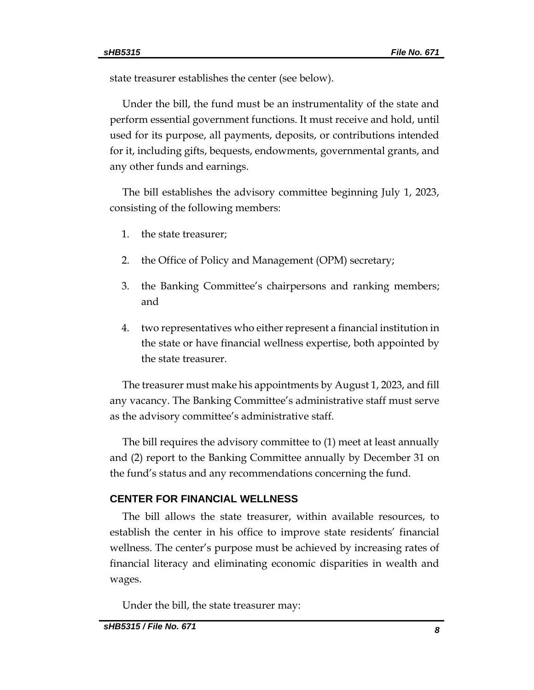state treasurer establishes the center (see below).

Under the bill, the fund must be an instrumentality of the state and perform essential government functions. It must receive and hold, until used for its purpose, all payments, deposits, or contributions intended for it, including gifts, bequests, endowments, governmental grants, and any other funds and earnings.

The bill establishes the advisory committee beginning July 1, 2023, consisting of the following members:

- 1. the state treasurer;
- 2. the Office of Policy and Management (OPM) secretary;
- 3. the Banking Committee's chairpersons and ranking members; and
- 4. two representatives who either represent a financial institution in the state or have financial wellness expertise, both appointed by the state treasurer.

The treasurer must make his appointments by August 1, 2023, and fill any vacancy. The Banking Committee's administrative staff must serve as the advisory committee's administrative staff.

The bill requires the advisory committee to (1) meet at least annually and (2) report to the Banking Committee annually by December 31 on the fund's status and any recommendations concerning the fund.

#### **CENTER FOR FINANCIAL WELLNESS**

The bill allows the state treasurer, within available resources, to establish the center in his office to improve state residents' financial wellness. The center's purpose must be achieved by increasing rates of financial literacy and eliminating economic disparities in wealth and wages.

Under the bill, the state treasurer may: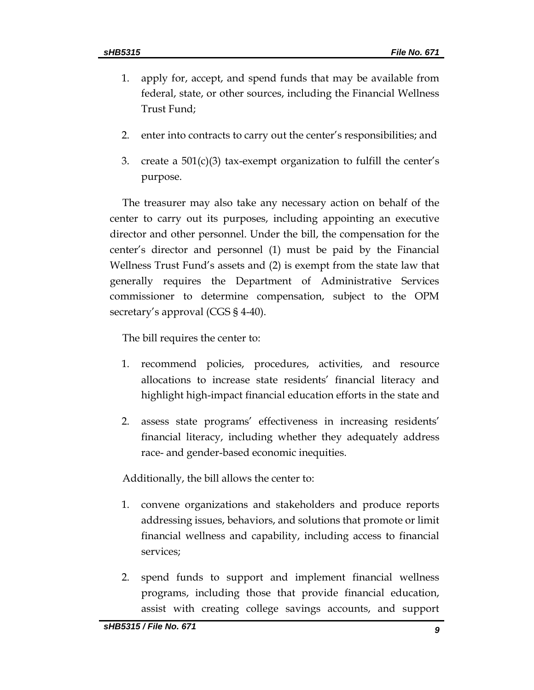- 1. apply for, accept, and spend funds that may be available from federal, state, or other sources, including the Financial Wellness Trust Fund;
- 2. enter into contracts to carry out the center's responsibilities; and
- 3. create a  $501(c)(3)$  tax-exempt organization to fulfill the center's purpose.

The treasurer may also take any necessary action on behalf of the center to carry out its purposes, including appointing an executive director and other personnel. Under the bill, the compensation for the center's director and personnel (1) must be paid by the Financial Wellness Trust Fund's assets and (2) is exempt from the state law that generally requires the Department of Administrative Services commissioner to determine compensation, subject to the OPM secretary's approval (CGS § 4-40).

The bill requires the center to:

- 1. recommend policies, procedures, activities, and resource allocations to increase state residents' financial literacy and highlight high-impact financial education efforts in the state and
- 2. assess state programs' effectiveness in increasing residents' financial literacy, including whether they adequately address race- and gender-based economic inequities.

Additionally, the bill allows the center to:

- 1. convene organizations and stakeholders and produce reports addressing issues, behaviors, and solutions that promote or limit financial wellness and capability, including access to financial services;
- 2. spend funds to support and implement financial wellness programs, including those that provide financial education, assist with creating college savings accounts, and support